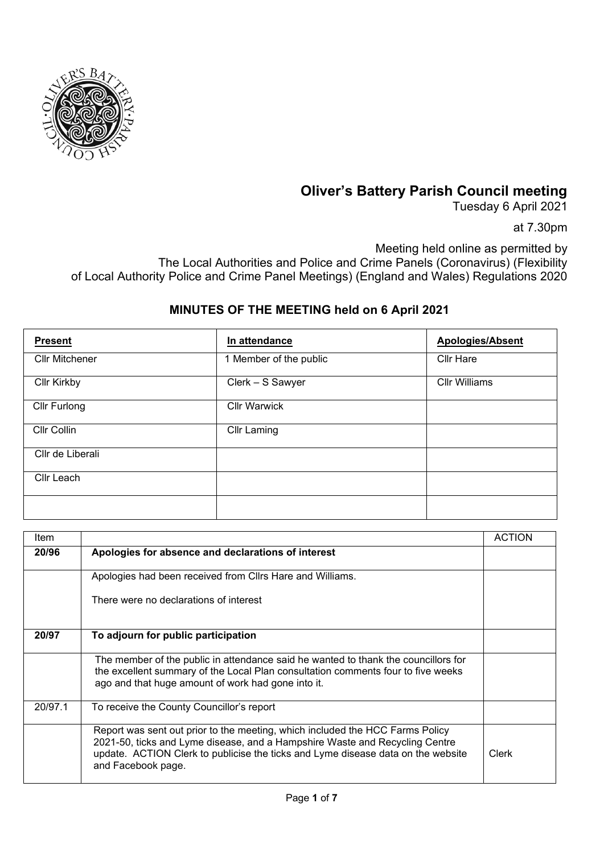

## **Oliver's Battery Parish Council meeting**

Tuesday 6 April 2021

at 7.30pm

Meeting held online as permitted by The Local Authorities and Police and Crime Panels (Coronavirus) (Flexibility of Local Authority Police and Crime Panel Meetings) (England and Wales) Regulations 2020

## **MINUTES OF THE MEETING held on 6 April 2021**

| <b>Present</b>        | In attendance          | <b>Apologies/Absent</b> |
|-----------------------|------------------------|-------------------------|
| <b>Cllr Mitchener</b> | 1 Member of the public | <b>Cllr Hare</b>        |
| <b>Cllr Kirkby</b>    | Clerk - S Sawyer       | <b>Cllr Williams</b>    |
| Cllr Furlong          | <b>Cllr Warwick</b>    |                         |
| Cllr Collin           | <b>Cllr Laming</b>     |                         |
| Cllr de Liberali      |                        |                         |
| Cllr Leach            |                        |                         |
|                       |                        |                         |

| Item    |                                                                                                                                                                                                                                                                        | <b>ACTION</b> |
|---------|------------------------------------------------------------------------------------------------------------------------------------------------------------------------------------------------------------------------------------------------------------------------|---------------|
| 20/96   | Apologies for absence and declarations of interest                                                                                                                                                                                                                     |               |
|         | Apologies had been received from Cllrs Hare and Williams.                                                                                                                                                                                                              |               |
|         | There were no declarations of interest                                                                                                                                                                                                                                 |               |
| 20/97   | To adjourn for public participation                                                                                                                                                                                                                                    |               |
|         | The member of the public in attendance said he wanted to thank the councillors for<br>the excellent summary of the Local Plan consultation comments four to five weeks<br>ago and that huge amount of work had gone into it.                                           |               |
| 20/97.1 | To receive the County Councillor's report                                                                                                                                                                                                                              |               |
|         | Report was sent out prior to the meeting, which included the HCC Farms Policy<br>2021-50, ticks and Lyme disease, and a Hampshire Waste and Recycling Centre<br>update. ACTION Clerk to publicise the ticks and Lyme disease data on the website<br>and Facebook page. | Clerk         |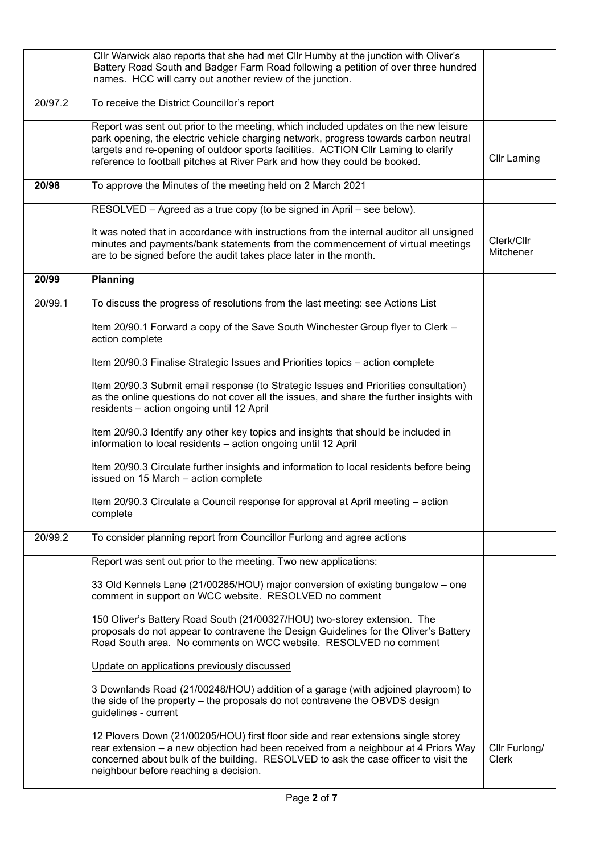|         | Cllr Warwick also reports that she had met Cllr Humby at the junction with Oliver's<br>Battery Road South and Badger Farm Road following a petition of over three hundred<br>names. HCC will carry out another review of the junction.                                                                                                         |                               |
|---------|------------------------------------------------------------------------------------------------------------------------------------------------------------------------------------------------------------------------------------------------------------------------------------------------------------------------------------------------|-------------------------------|
| 20/97.2 | To receive the District Councillor's report                                                                                                                                                                                                                                                                                                    |                               |
|         | Report was sent out prior to the meeting, which included updates on the new leisure<br>park opening, the electric vehicle charging network, progress towards carbon neutral<br>targets and re-opening of outdoor sports facilities. ACTION CIIr Laming to clarify<br>reference to football pitches at River Park and how they could be booked. | <b>Cllr Laming</b>            |
| 20/98   | To approve the Minutes of the meeting held on 2 March 2021                                                                                                                                                                                                                                                                                     |                               |
|         | RESOLVED - Agreed as a true copy (to be signed in April - see below).                                                                                                                                                                                                                                                                          |                               |
|         | It was noted that in accordance with instructions from the internal auditor all unsigned<br>minutes and payments/bank statements from the commencement of virtual meetings<br>are to be signed before the audit takes place later in the month.                                                                                                | Clerk/Cllr<br>Mitchener       |
| 20/99   | <b>Planning</b>                                                                                                                                                                                                                                                                                                                                |                               |
| 20/99.1 | To discuss the progress of resolutions from the last meeting: see Actions List                                                                                                                                                                                                                                                                 |                               |
|         | Item 20/90.1 Forward a copy of the Save South Winchester Group flyer to Clerk -<br>action complete                                                                                                                                                                                                                                             |                               |
|         | Item 20/90.3 Finalise Strategic Issues and Priorities topics - action complete                                                                                                                                                                                                                                                                 |                               |
|         | Item 20/90.3 Submit email response (to Strategic Issues and Priorities consultation)<br>as the online questions do not cover all the issues, and share the further insights with<br>residents - action ongoing until 12 April                                                                                                                  |                               |
|         | Item 20/90.3 Identify any other key topics and insights that should be included in<br>information to local residents - action ongoing until 12 April                                                                                                                                                                                           |                               |
|         | Item 20/90.3 Circulate further insights and information to local residents before being<br>issued on 15 March - action complete                                                                                                                                                                                                                |                               |
|         | Item 20/90.3 Circulate a Council response for approval at April meeting - action<br>complete                                                                                                                                                                                                                                                   |                               |
| 20/99.2 | To consider planning report from Councillor Furlong and agree actions                                                                                                                                                                                                                                                                          |                               |
|         | Report was sent out prior to the meeting. Two new applications:                                                                                                                                                                                                                                                                                |                               |
|         | 33 Old Kennels Lane (21/00285/HOU) major conversion of existing bungalow – one<br>comment in support on WCC website. RESOLVED no comment                                                                                                                                                                                                       |                               |
|         | 150 Oliver's Battery Road South (21/00327/HOU) two-storey extension. The<br>proposals do not appear to contravene the Design Guidelines for the Oliver's Battery<br>Road South area. No comments on WCC website. RESOLVED no comment                                                                                                           |                               |
|         | Update on applications previously discussed                                                                                                                                                                                                                                                                                                    |                               |
|         | 3 Downlands Road (21/00248/HOU) addition of a garage (with adjoined playroom) to<br>the side of the property - the proposals do not contravene the OBVDS design<br>guidelines - current                                                                                                                                                        |                               |
|         | 12 Plovers Down (21/00205/HOU) first floor side and rear extensions single storey<br>rear extension - a new objection had been received from a neighbour at 4 Priors Way<br>concerned about bulk of the building. RESOLVED to ask the case officer to visit the<br>neighbour before reaching a decision.                                       | Cllr Furlong/<br><b>Clerk</b> |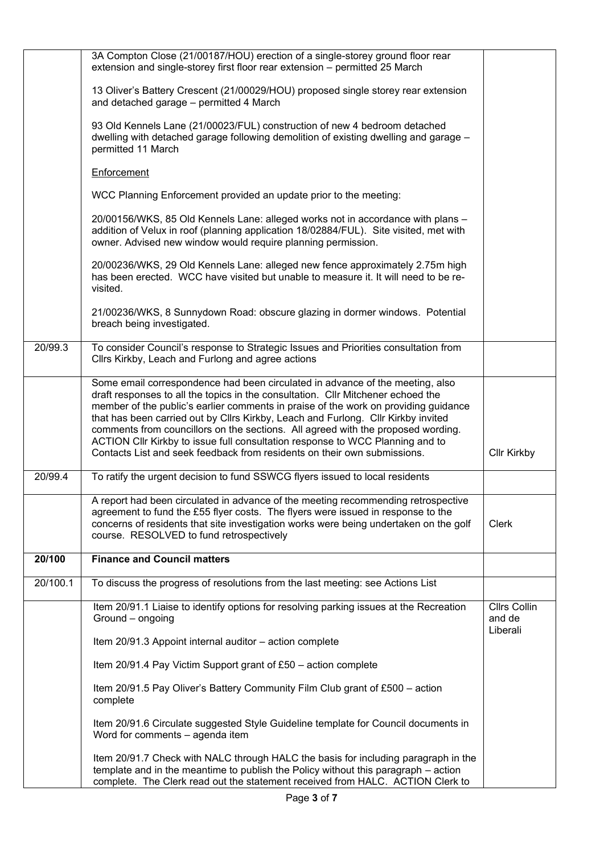|          | 3A Compton Close (21/00187/HOU) erection of a single-storey ground floor rear<br>extension and single-storey first floor rear extension - permitted 25 March                                                                                                                                                                                                                                                                                                                                                                                                                                   |                                           |
|----------|------------------------------------------------------------------------------------------------------------------------------------------------------------------------------------------------------------------------------------------------------------------------------------------------------------------------------------------------------------------------------------------------------------------------------------------------------------------------------------------------------------------------------------------------------------------------------------------------|-------------------------------------------|
|          | 13 Oliver's Battery Crescent (21/00029/HOU) proposed single storey rear extension<br>and detached garage - permitted 4 March                                                                                                                                                                                                                                                                                                                                                                                                                                                                   |                                           |
|          | 93 Old Kennels Lane (21/00023/FUL) construction of new 4 bedroom detached<br>dwelling with detached garage following demolition of existing dwelling and garage -<br>permitted 11 March                                                                                                                                                                                                                                                                                                                                                                                                        |                                           |
|          | Enforcement                                                                                                                                                                                                                                                                                                                                                                                                                                                                                                                                                                                    |                                           |
|          | WCC Planning Enforcement provided an update prior to the meeting:                                                                                                                                                                                                                                                                                                                                                                                                                                                                                                                              |                                           |
|          | 20/00156/WKS, 85 Old Kennels Lane: alleged works not in accordance with plans -<br>addition of Velux in roof (planning application 18/02884/FUL). Site visited, met with<br>owner. Advised new window would require planning permission.                                                                                                                                                                                                                                                                                                                                                       |                                           |
|          | 20/00236/WKS, 29 Old Kennels Lane: alleged new fence approximately 2.75m high<br>has been erected. WCC have visited but unable to measure it. It will need to be re-<br>visited.                                                                                                                                                                                                                                                                                                                                                                                                               |                                           |
|          | 21/00236/WKS, 8 Sunnydown Road: obscure glazing in dormer windows. Potential<br>breach being investigated.                                                                                                                                                                                                                                                                                                                                                                                                                                                                                     |                                           |
| 20/99.3  | To consider Council's response to Strategic Issues and Priorities consultation from<br>Cllrs Kirkby, Leach and Furlong and agree actions                                                                                                                                                                                                                                                                                                                                                                                                                                                       |                                           |
|          | Some email correspondence had been circulated in advance of the meeting, also<br>draft responses to all the topics in the consultation. Cllr Mitchener echoed the<br>member of the public's earlier comments in praise of the work on providing guidance<br>that has been carried out by Cllrs Kirkby, Leach and Furlong. Cllr Kirkby invited<br>comments from councillors on the sections. All agreed with the proposed wording.<br>ACTION CIIr Kirkby to issue full consultation response to WCC Planning and to<br>Contacts List and seek feedback from residents on their own submissions. | <b>Cllr Kirkby</b>                        |
| 20/99.4  | To ratify the urgent decision to fund SSWCG flyers issued to local residents                                                                                                                                                                                                                                                                                                                                                                                                                                                                                                                   |                                           |
|          | A report had been circulated in advance of the meeting recommending retrospective<br>agreement to fund the £55 flyer costs. The flyers were issued in response to the<br>concerns of residents that site investigation works were being undertaken on the golf<br>course. RESOLVED to fund retrospectively                                                                                                                                                                                                                                                                                     | <b>Clerk</b>                              |
| 20/100   | <b>Finance and Council matters</b>                                                                                                                                                                                                                                                                                                                                                                                                                                                                                                                                                             |                                           |
| 20/100.1 | To discuss the progress of resolutions from the last meeting: see Actions List                                                                                                                                                                                                                                                                                                                                                                                                                                                                                                                 |                                           |
|          | Item 20/91.1 Liaise to identify options for resolving parking issues at the Recreation<br>Ground - ongoing                                                                                                                                                                                                                                                                                                                                                                                                                                                                                     | <b>Cllrs Collin</b><br>and de<br>Liberali |
|          | Item 20/91.3 Appoint internal auditor - action complete                                                                                                                                                                                                                                                                                                                                                                                                                                                                                                                                        |                                           |
|          | Item 20/91.4 Pay Victim Support grant of £50 – action complete                                                                                                                                                                                                                                                                                                                                                                                                                                                                                                                                 |                                           |
|          | Item 20/91.5 Pay Oliver's Battery Community Film Club grant of £500 - action<br>complete                                                                                                                                                                                                                                                                                                                                                                                                                                                                                                       |                                           |
|          | Item 20/91.6 Circulate suggested Style Guideline template for Council documents in<br>Word for comments - agenda item                                                                                                                                                                                                                                                                                                                                                                                                                                                                          |                                           |
|          | Item 20/91.7 Check with NALC through HALC the basis for including paragraph in the<br>template and in the meantime to publish the Policy without this paragraph – action<br>complete. The Clerk read out the statement received from HALC. ACTION Clerk to                                                                                                                                                                                                                                                                                                                                     |                                           |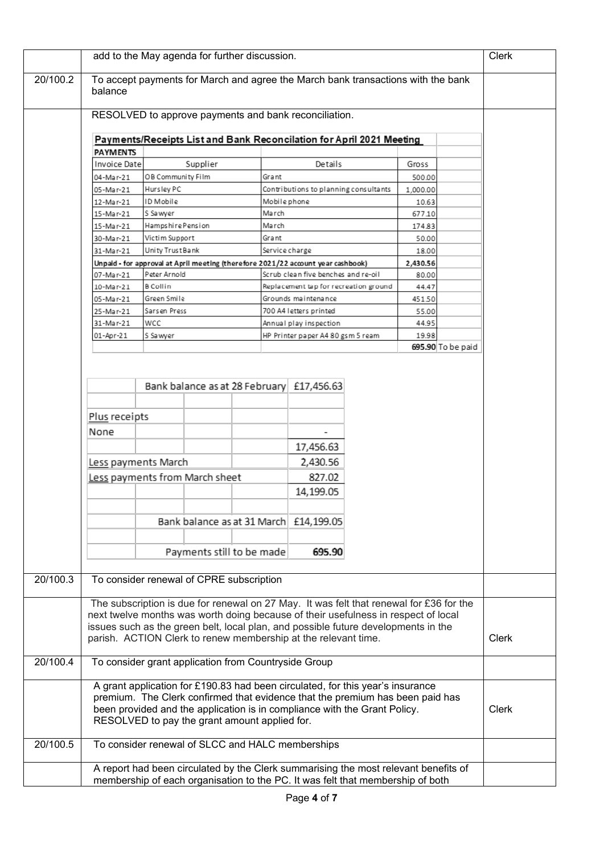|                                                                                                                            | add to the May agenda for further discussion.                                               |                   |                           |  |                |                                                                                         | Clerk        |          |                   |  |
|----------------------------------------------------------------------------------------------------------------------------|---------------------------------------------------------------------------------------------|-------------------|---------------------------|--|----------------|-----------------------------------------------------------------------------------------|--------------|----------|-------------------|--|
| 20/100.2                                                                                                                   | To accept payments for March and agree the March bank transactions with the bank<br>balance |                   |                           |  |                |                                                                                         |              |          |                   |  |
|                                                                                                                            | RESOLVED to approve payments and bank reconciliation.                                       |                   |                           |  |                |                                                                                         |              |          |                   |  |
|                                                                                                                            | Payments/Receipts List and Bank Reconcilation for April 2021 Meeting                        |                   |                           |  |                |                                                                                         |              |          |                   |  |
|                                                                                                                            | <b>PAYMENTS</b>                                                                             |                   |                           |  |                |                                                                                         |              |          |                   |  |
|                                                                                                                            | Invoice Date                                                                                |                   | Supplier                  |  |                | Details                                                                                 |              | Gross    |                   |  |
|                                                                                                                            | 04-Mar-21                                                                                   | OB Community Film |                           |  | Grant          |                                                                                         |              | 500.00   |                   |  |
|                                                                                                                            | 05-Mar-21                                                                                   | Hursley PC        |                           |  |                | Contributions to planning consultants                                                   |              | 1,000.00 |                   |  |
|                                                                                                                            | 12-Mar-21                                                                                   | ID Mobile         |                           |  | Mobile phone   |                                                                                         |              | 10.63    |                   |  |
|                                                                                                                            | 15-Mar-21                                                                                   | l S Sa wyer       |                           |  | March          |                                                                                         |              | 677.10   |                   |  |
|                                                                                                                            | 15-Mar-21                                                                                   | Hampshire Pension |                           |  | March          |                                                                                         |              | 174.83   |                   |  |
|                                                                                                                            | 30-Mar-21                                                                                   | Victim Support    |                           |  | Grant          |                                                                                         |              | 50.00    |                   |  |
|                                                                                                                            | 31-Mar-21                                                                                   | Unity Trust Bank  |                           |  | Service charge |                                                                                         |              | 18.00    |                   |  |
|                                                                                                                            |                                                                                             |                   |                           |  |                | Unpaid - for approval at April meeting (therefore 2021/22 account year cashbook)        |              | 2,430.56 |                   |  |
|                                                                                                                            | 07-Mar-21                                                                                   | Peter Arnold      |                           |  |                | Scrub clean five benches and re-oil                                                     |              | 80.00    |                   |  |
|                                                                                                                            | 10-Mar-21                                                                                   | B Collin          |                           |  |                | Replacement tap for recreation ground                                                   |              | 44.47    |                   |  |
|                                                                                                                            | 05-Mar-21                                                                                   | Green Smile       |                           |  |                | Grounds maintenance                                                                     |              | 451.50   |                   |  |
|                                                                                                                            | 25-Mar-21                                                                                   | Sarsen Press      |                           |  |                | 700 A4 letters printed                                                                  |              | 55.00    |                   |  |
|                                                                                                                            | 31-Mar-21                                                                                   | wcc               |                           |  |                | Annual play inspection                                                                  |              | 44.95    |                   |  |
|                                                                                                                            | 01-Apr-21                                                                                   | S Sawyer          |                           |  |                | HP Printer paper A4 80 gsm 5 ream                                                       |              | 19.98    |                   |  |
|                                                                                                                            |                                                                                             |                   |                           |  |                |                                                                                         |              |          | 695.90 To be paid |  |
|                                                                                                                            |                                                                                             |                   |                           |  |                |                                                                                         |              |          |                   |  |
|                                                                                                                            |                                                                                             |                   |                           |  |                |                                                                                         |              |          |                   |  |
|                                                                                                                            |                                                                                             |                   |                           |  |                | Bank balance as at 28 February £17,456.63                                               |              |          |                   |  |
|                                                                                                                            |                                                                                             |                   |                           |  |                |                                                                                         |              |          |                   |  |
|                                                                                                                            | Plus receipts                                                                               |                   |                           |  |                |                                                                                         |              |          |                   |  |
|                                                                                                                            | None                                                                                        |                   |                           |  |                |                                                                                         |              |          |                   |  |
|                                                                                                                            |                                                                                             |                   |                           |  |                | 17,456.63                                                                               |              |          |                   |  |
|                                                                                                                            |                                                                                             |                   |                           |  |                |                                                                                         |              |          |                   |  |
|                                                                                                                            | Less payments March                                                                         |                   |                           |  |                | 2,430.56                                                                                |              |          |                   |  |
|                                                                                                                            | Less payments from March sheet                                                              |                   |                           |  | 827.02         |                                                                                         |              |          |                   |  |
|                                                                                                                            |                                                                                             |                   |                           |  |                | 14,199.05                                                                               |              |          |                   |  |
|                                                                                                                            |                                                                                             |                   |                           |  |                |                                                                                         |              |          |                   |  |
|                                                                                                                            |                                                                                             |                   |                           |  |                | Bank balance as at 31 March £14,199.05                                                  |              |          |                   |  |
|                                                                                                                            |                                                                                             |                   | Payments still to be made |  |                | 695.90                                                                                  |              |          |                   |  |
|                                                                                                                            | To consider renewal of CPRE subscription                                                    |                   |                           |  |                |                                                                                         |              |          |                   |  |
| 20/100.3                                                                                                                   |                                                                                             |                   |                           |  |                |                                                                                         |              |          |                   |  |
|                                                                                                                            |                                                                                             |                   |                           |  |                | The subscription is due for renewal on 27 May. It was felt that renewal for £36 for the |              |          |                   |  |
|                                                                                                                            |                                                                                             |                   |                           |  |                | next twelve months was worth doing because of their usefulness in respect of local      |              |          |                   |  |
|                                                                                                                            |                                                                                             |                   |                           |  |                | issues such as the green belt, local plan, and possible future developments in the      |              |          |                   |  |
|                                                                                                                            | parish. ACTION Clerk to renew membership at the relevant time.                              |                   |                           |  |                |                                                                                         |              |          | <b>Clerk</b>      |  |
|                                                                                                                            |                                                                                             |                   |                           |  |                |                                                                                         |              |          |                   |  |
| 20/100.4                                                                                                                   | To consider grant application from Countryside Group                                        |                   |                           |  |                |                                                                                         |              |          |                   |  |
|                                                                                                                            |                                                                                             |                   |                           |  |                | A grant application for £190.83 had been circulated, for this year's insurance          |              |          |                   |  |
| premium. The Clerk confirmed that evidence that the premium has been paid has                                              |                                                                                             |                   |                           |  |                |                                                                                         |              |          |                   |  |
| been provided and the application is in compliance with the Grant Policy.<br>RESOLVED to pay the grant amount applied for. |                                                                                             |                   |                           |  |                |                                                                                         | <b>Clerk</b> |          |                   |  |
| 20/100.5                                                                                                                   | To consider renewal of SLCC and HALC memberships                                            |                   |                           |  |                |                                                                                         |              |          |                   |  |
|                                                                                                                            | A report had been circulated by the Clerk summarising the most relevant benefits of         |                   |                           |  |                |                                                                                         |              |          |                   |  |
|                                                                                                                            | membership of each organisation to the PC. It was felt that membership of both              |                   |                           |  |                |                                                                                         |              |          |                   |  |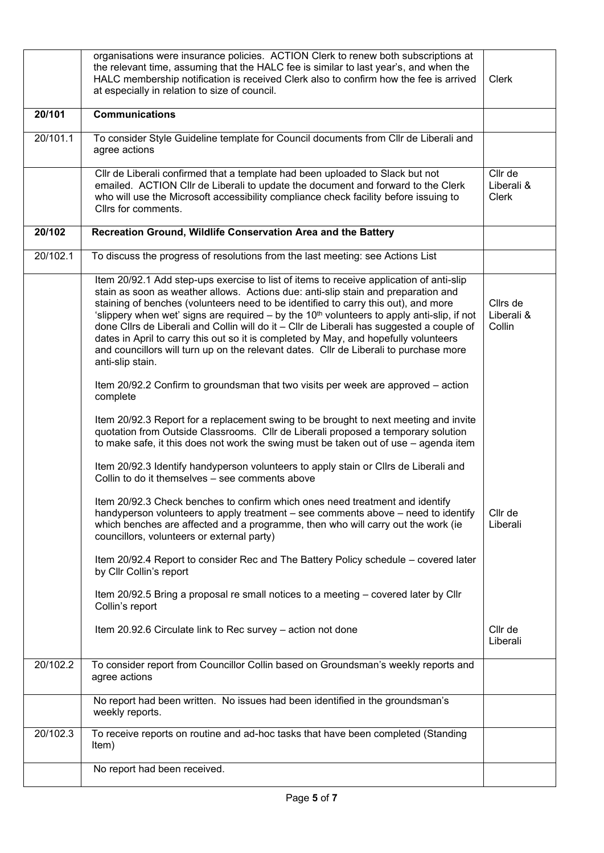|          | organisations were insurance policies. ACTION Clerk to renew both subscriptions at<br>the relevant time, assuming that the HALC fee is similar to last year's, and when the<br>HALC membership notification is received Clerk also to confirm how the fee is arrived<br>at especially in relation to size of council.                                                                                                                                                                                                                                                                                                                                                            | <b>Clerk</b>                     |
|----------|----------------------------------------------------------------------------------------------------------------------------------------------------------------------------------------------------------------------------------------------------------------------------------------------------------------------------------------------------------------------------------------------------------------------------------------------------------------------------------------------------------------------------------------------------------------------------------------------------------------------------------------------------------------------------------|----------------------------------|
| 20/101   | <b>Communications</b>                                                                                                                                                                                                                                                                                                                                                                                                                                                                                                                                                                                                                                                            |                                  |
| 20/101.1 | To consider Style Guideline template for Council documents from Cllr de Liberali and<br>agree actions                                                                                                                                                                                                                                                                                                                                                                                                                                                                                                                                                                            |                                  |
|          | Cllr de Liberali confirmed that a template had been uploaded to Slack but not<br>emailed. ACTION Cllr de Liberali to update the document and forward to the Clerk<br>who will use the Microsoft accessibility compliance check facility before issuing to<br>Cllrs for comments.                                                                                                                                                                                                                                                                                                                                                                                                 | Cllr de<br>Liberali &<br>Clerk   |
| 20/102   | Recreation Ground, Wildlife Conservation Area and the Battery                                                                                                                                                                                                                                                                                                                                                                                                                                                                                                                                                                                                                    |                                  |
| 20/102.1 | To discuss the progress of resolutions from the last meeting: see Actions List                                                                                                                                                                                                                                                                                                                                                                                                                                                                                                                                                                                                   |                                  |
|          | Item 20/92.1 Add step-ups exercise to list of items to receive application of anti-slip<br>stain as soon as weather allows. Actions due: anti-slip stain and preparation and<br>staining of benches (volunteers need to be identified to carry this out), and more<br>'slippery when wet' signs are required $-$ by the 10 <sup>th</sup> volunteers to apply anti-slip, if not<br>done ClIrs de Liberali and Collin will do it - ClIr de Liberali has suggested a couple of<br>dates in April to carry this out so it is completed by May, and hopefully volunteers<br>and councillors will turn up on the relevant dates. Cllr de Liberali to purchase more<br>anti-slip stain. | Cllrs de<br>Liberali &<br>Collin |
|          | Item 20/92.2 Confirm to groundsman that two visits per week are approved - action<br>complete                                                                                                                                                                                                                                                                                                                                                                                                                                                                                                                                                                                    |                                  |
|          | Item 20/92.3 Report for a replacement swing to be brought to next meeting and invite<br>quotation from Outside Classrooms. Cllr de Liberali proposed a temporary solution<br>to make safe, it this does not work the swing must be taken out of use - agenda item                                                                                                                                                                                                                                                                                                                                                                                                                |                                  |
|          | Item 20/92.3 Identify handyperson volunteers to apply stain or Cllrs de Liberali and<br>Collin to do it themselves - see comments above                                                                                                                                                                                                                                                                                                                                                                                                                                                                                                                                          |                                  |
|          | Item 20/92.3 Check benches to confirm which ones need treatment and identify<br>handyperson volunteers to apply treatment – see comments above – need to identify<br>which benches are affected and a programme, then who will carry out the work (ie<br>councillors, volunteers or external party)                                                                                                                                                                                                                                                                                                                                                                              | Cllr de<br>Liberali              |
|          | Item 20/92.4 Report to consider Rec and The Battery Policy schedule – covered later<br>by Cllr Collin's report                                                                                                                                                                                                                                                                                                                                                                                                                                                                                                                                                                   |                                  |
|          | Item 20/92.5 Bring a proposal re small notices to a meeting – covered later by Cllr<br>Collin's report                                                                                                                                                                                                                                                                                                                                                                                                                                                                                                                                                                           |                                  |
|          | Item 20.92.6 Circulate link to Rec survey - action not done                                                                                                                                                                                                                                                                                                                                                                                                                                                                                                                                                                                                                      | Cllr de<br>Liberali              |
| 20/102.2 | To consider report from Councillor Collin based on Groundsman's weekly reports and<br>agree actions                                                                                                                                                                                                                                                                                                                                                                                                                                                                                                                                                                              |                                  |
|          | No report had been written. No issues had been identified in the groundsman's<br>weekly reports.                                                                                                                                                                                                                                                                                                                                                                                                                                                                                                                                                                                 |                                  |
| 20/102.3 | To receive reports on routine and ad-hoc tasks that have been completed (Standing<br>Item)                                                                                                                                                                                                                                                                                                                                                                                                                                                                                                                                                                                       |                                  |
|          | No report had been received.                                                                                                                                                                                                                                                                                                                                                                                                                                                                                                                                                                                                                                                     |                                  |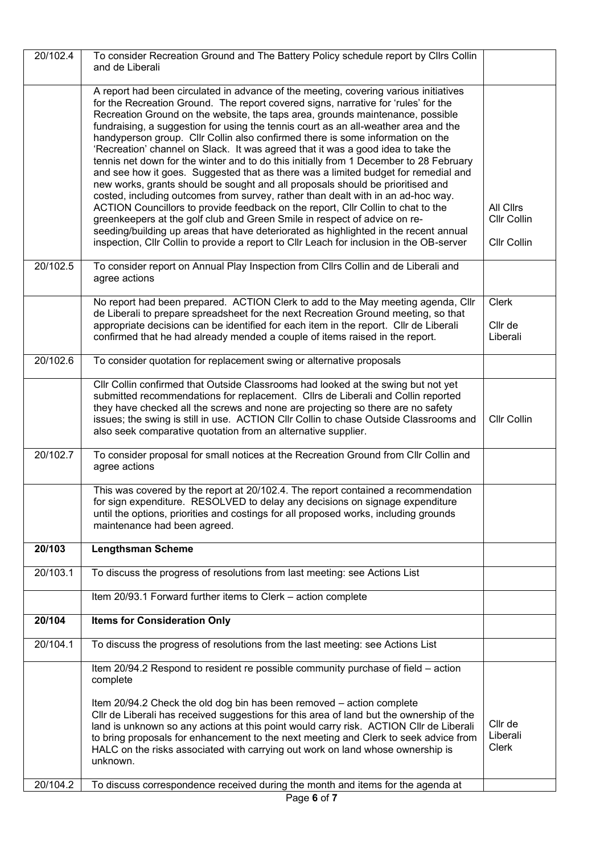| 20/102.4 | To consider Recreation Ground and The Battery Policy schedule report by Cllrs Collin<br>and de Liberali                                                                                                                                                                                                                                                                                                                                                                                                                                                                                                                                                                                                                                                                                                                                                                                                                                                                                                                                                                                                                                                                                                                              |                                         |
|----------|--------------------------------------------------------------------------------------------------------------------------------------------------------------------------------------------------------------------------------------------------------------------------------------------------------------------------------------------------------------------------------------------------------------------------------------------------------------------------------------------------------------------------------------------------------------------------------------------------------------------------------------------------------------------------------------------------------------------------------------------------------------------------------------------------------------------------------------------------------------------------------------------------------------------------------------------------------------------------------------------------------------------------------------------------------------------------------------------------------------------------------------------------------------------------------------------------------------------------------------|-----------------------------------------|
|          |                                                                                                                                                                                                                                                                                                                                                                                                                                                                                                                                                                                                                                                                                                                                                                                                                                                                                                                                                                                                                                                                                                                                                                                                                                      |                                         |
|          | A report had been circulated in advance of the meeting, covering various initiatives<br>for the Recreation Ground. The report covered signs, narrative for 'rules' for the<br>Recreation Ground on the website, the taps area, grounds maintenance, possible<br>fundraising, a suggestion for using the tennis court as an all-weather area and the<br>handyperson group. Cllr Collin also confirmed there is some information on the<br>'Recreation' channel on Slack. It was agreed that it was a good idea to take the<br>tennis net down for the winter and to do this initially from 1 December to 28 February<br>and see how it goes. Suggested that as there was a limited budget for remedial and<br>new works, grants should be sought and all proposals should be prioritised and<br>costed, including outcomes from survey, rather than dealt with in an ad-hoc way.<br>ACTION Councillors to provide feedback on the report, Cllr Collin to chat to the<br>greenkeepers at the golf club and Green Smile in respect of advice on re-<br>seeding/building up areas that have deteriorated as highlighted in the recent annual<br>inspection, Cllr Collin to provide a report to Cllr Leach for inclusion in the OB-server | All Clirs<br>Cllr Collin<br>Cllr Collin |
| 20/102.5 | To consider report on Annual Play Inspection from Cllrs Collin and de Liberali and<br>agree actions                                                                                                                                                                                                                                                                                                                                                                                                                                                                                                                                                                                                                                                                                                                                                                                                                                                                                                                                                                                                                                                                                                                                  |                                         |
|          | No report had been prepared. ACTION Clerk to add to the May meeting agenda, Cllr                                                                                                                                                                                                                                                                                                                                                                                                                                                                                                                                                                                                                                                                                                                                                                                                                                                                                                                                                                                                                                                                                                                                                     | <b>Clerk</b>                            |
|          | de Liberali to prepare spreadsheet for the next Recreation Ground meeting, so that<br>appropriate decisions can be identified for each item in the report. Cllr de Liberali<br>confirmed that he had already mended a couple of items raised in the report.                                                                                                                                                                                                                                                                                                                                                                                                                                                                                                                                                                                                                                                                                                                                                                                                                                                                                                                                                                          | Cllr de<br>Liberali                     |
| 20/102.6 | To consider quotation for replacement swing or alternative proposals                                                                                                                                                                                                                                                                                                                                                                                                                                                                                                                                                                                                                                                                                                                                                                                                                                                                                                                                                                                                                                                                                                                                                                 |                                         |
|          | Cllr Collin confirmed that Outside Classrooms had looked at the swing but not yet<br>submitted recommendations for replacement. Cllrs de Liberali and Collin reported<br>they have checked all the screws and none are projecting so there are no safety<br>issues; the swing is still in use. ACTION CIIr Collin to chase Outside Classrooms and<br>also seek comparative quotation from an alternative supplier.                                                                                                                                                                                                                                                                                                                                                                                                                                                                                                                                                                                                                                                                                                                                                                                                                   | Cllr Collin                             |
| 20/102.7 | To consider proposal for small notices at the Recreation Ground from Cllr Collin and<br>agree actions                                                                                                                                                                                                                                                                                                                                                                                                                                                                                                                                                                                                                                                                                                                                                                                                                                                                                                                                                                                                                                                                                                                                |                                         |
|          | This was covered by the report at 20/102.4. The report contained a recommendation<br>for sign expenditure. RESOLVED to delay any decisions on signage expenditure<br>until the options, priorities and costings for all proposed works, including grounds<br>maintenance had been agreed.                                                                                                                                                                                                                                                                                                                                                                                                                                                                                                                                                                                                                                                                                                                                                                                                                                                                                                                                            |                                         |
| 20/103   | <b>Lengthsman Scheme</b>                                                                                                                                                                                                                                                                                                                                                                                                                                                                                                                                                                                                                                                                                                                                                                                                                                                                                                                                                                                                                                                                                                                                                                                                             |                                         |
| 20/103.1 | To discuss the progress of resolutions from last meeting: see Actions List                                                                                                                                                                                                                                                                                                                                                                                                                                                                                                                                                                                                                                                                                                                                                                                                                                                                                                                                                                                                                                                                                                                                                           |                                         |
|          | Item 20/93.1 Forward further items to Clerk - action complete                                                                                                                                                                                                                                                                                                                                                                                                                                                                                                                                                                                                                                                                                                                                                                                                                                                                                                                                                                                                                                                                                                                                                                        |                                         |
| 20/104   | <b>Items for Consideration Only</b>                                                                                                                                                                                                                                                                                                                                                                                                                                                                                                                                                                                                                                                                                                                                                                                                                                                                                                                                                                                                                                                                                                                                                                                                  |                                         |
| 20/104.1 | To discuss the progress of resolutions from the last meeting: see Actions List                                                                                                                                                                                                                                                                                                                                                                                                                                                                                                                                                                                                                                                                                                                                                                                                                                                                                                                                                                                                                                                                                                                                                       |                                         |
|          | Item 20/94.2 Respond to resident re possible community purchase of field - action<br>complete                                                                                                                                                                                                                                                                                                                                                                                                                                                                                                                                                                                                                                                                                                                                                                                                                                                                                                                                                                                                                                                                                                                                        |                                         |
|          | Item 20/94.2 Check the old dog bin has been removed - action complete<br>CIIr de Liberali has received suggestions for this area of land but the ownership of the<br>land is unknown so any actions at this point would carry risk. ACTION Cllr de Liberali<br>to bring proposals for enhancement to the next meeting and Clerk to seek advice from<br>HALC on the risks associated with carrying out work on land whose ownership is<br>unknown.                                                                                                                                                                                                                                                                                                                                                                                                                                                                                                                                                                                                                                                                                                                                                                                    | Cllr de<br>Liberali<br><b>Clerk</b>     |
|          |                                                                                                                                                                                                                                                                                                                                                                                                                                                                                                                                                                                                                                                                                                                                                                                                                                                                                                                                                                                                                                                                                                                                                                                                                                      |                                         |